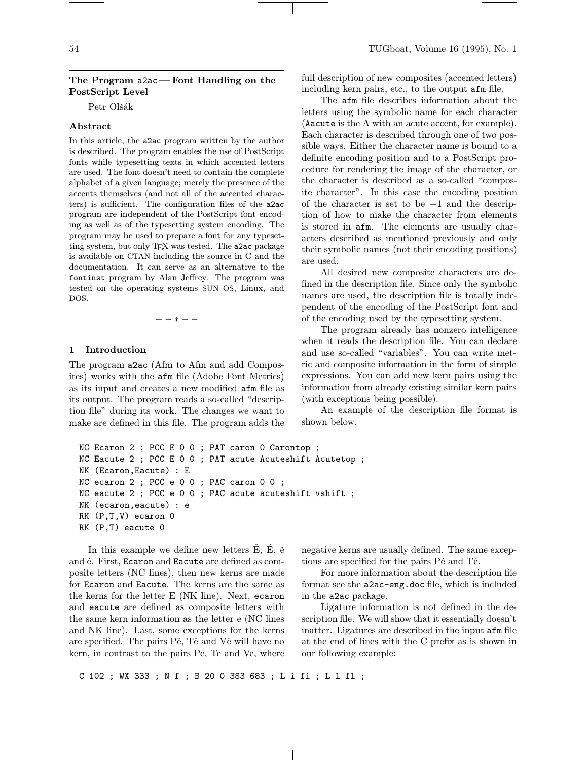## The Program a2ac— Font Handling on the PostScript Level

Petr Olšák

# Abstract

In this article, the a2ac program written by the author is described. The program enables the use of PostScript fonts while typesetting texts in which accented letters are used. The font doesn't need to contain the complete alphabet of a given language; merely the presence of the accents themselves (and not all of the accented characters) is sufficient. The configuration files of the a2ac program are independent of the PostScript font encoding as well as of the typesetting system encoding. The program may be used to prepare a font for any typesetting system, but only T<sub>E</sub>X was tested. The a2ac package is available on CTAN including the source in C and the documentation. It can serve as an alternative to the fontinst program by Alan Jeffrey. The program was tested on the operating systems SUN OS, Linux, and DOS.

−−∗−−

## 1 Introduction

The program a2ac (Afm to Afm and add Composites) works with the afm file (Adobe Font Metrics) as its input and creates a new modified afm file as its output. The program reads a so-called "description file" during its work. The changes we want to make are defined in this file. The program adds the

full description of new composites (accented letters) including kern pairs, etc., to the output afm file.

The afm file describes information about the letters using the symbolic name for each character (Aacute is the A with an acute accent, for example). Each character is described through one of two possible ways. Either the character name is bound to a definite encoding position and to a PostScript procedure for rendering the image of the character, or the character is described as a so-called "composite character". In this case the encoding position of the character is set to be −1 and the description of how to make the character from elements is stored in afm. The elements are usually characters described as mentioned previously and only their symbolic names (not their encoding positions) are used.

All desired new composite characters are defined in the description file. Since only the symbolic names are used, the description file is totally independent of the encoding of the PostScript font and of the encoding used by the typesetting system.

The program already has nonzero intelligence when it reads the description file. You can declare and use so-called "variables". You can write metric and composite information in the form of simple expressions. You can add new kern pairs using the information from already existing similar kern pairs (with exceptions being possible).

An example of the description file format is shown below.

```
NC Ecaron 2 ; PCC E 0 0 ; PAT caron 0 Carontop ;
NC Eacute 2 ; PCC E 0 0 ; PAT acute Acuteshift Acutetop ;
NK (Ecaron,Eacute) : E
NC ecaron 2 ; PCC e 0 0 ; PAC caron 0 0 ;
NC eacute 2 ; PCC e 0 0 ; PAC acute acuteshift vshift ;
NK (ecaron,eacute) : e
RK (P,T,V) ecaron 0
RK (P,T) eacute 0
```
In this example we define new letters  $E, E, \tilde{e}$ and  $\acute{e}$ . First, Ecaron and Eacute are defined as composite letters (NC lines), then new kerns are made for Ecaron and Eacute. The kerns are the same as the kerns for the letter E (NK line). Next, ecaron and eacute are defined as composite letters with the same kern information as the letter e (NC lines and NK line). Last, some exceptions for the kerns are specified. The pairs Pě, Tě and Vě will have no kern, in contrast to the pairs Pe, Te and Ve, where

negative kerns are usually defined. The same exceptions are specified for the pairs Pé and Té.

For more information about the description file format see the a2ac-eng.doc file, which is included in the a2ac package.

Ligature information is not defined in the description file. We will show that it essentially doesn't matter. Ligatures are described in the input afm file at the end of lines with the C prefix as is shown in our following example:

C 102 ; WX 333 ; N f ; B 20 0 383 683 ; L i fi ; L l fl ;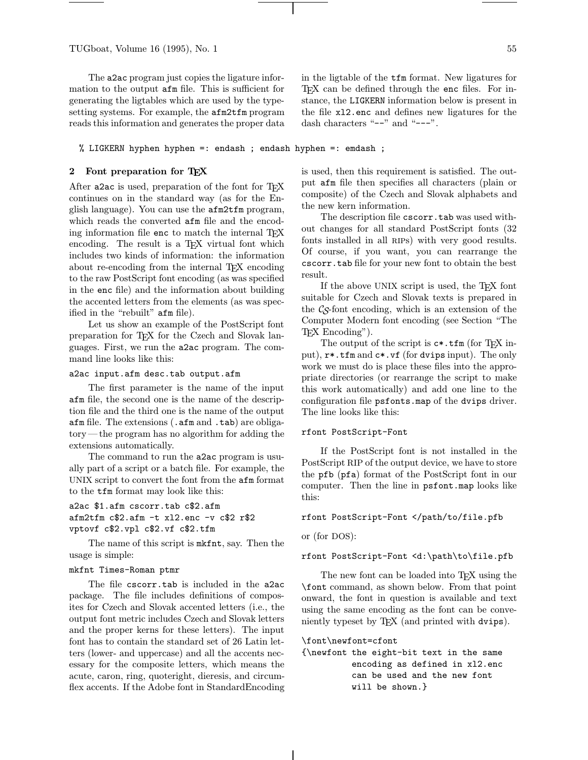TUGboat, Volume 16 (1995), No. 1 55

The a2ac program just copies the ligature information to the output afm file. This is sufficient for generating the ligtables which are used by the typesetting systems. For example, the afm2tfm program reads this information and generates the proper data in the ligtable of the tfm format. New ligatures for T<sub>E</sub>X can be defined through the enc files. For instance, the LIGKERN information below is present in the file xl2.enc and defines new ligatures for the dash characters "--" and "---".

% LIGKERN hyphen hyphen =: endash ; endash hyphen =: emdash ;

## 2 Font preparation for TFX

After a2ac is used, preparation of the font for T<sub>E</sub>X continues on in the standard way (as for the English language). You can use the afm2tfm program, which reads the converted afm file and the encoding information file enc to match the internal T<sub>E</sub>X encoding. The result is a T<sub>EX</sub> virtual font which includes two kinds of information: the information about re-encoding from the internal TFX encoding to the raw PostScript font encoding (as was specified in the enc file) and the information about building the accented letters from the elements (as was specified in the "rebuilt" afm file).

Let us show an example of the PostScript font preparation for TEX for the Czech and Slovak languages. First, we run the a2ac program. The command line looks like this:

### a2ac input.afm desc.tab output.afm

The first parameter is the name of the input afm file, the second one is the name of the description file and the third one is the name of the output afm file. The extensions (.afm and .tab) are obligatory— the program has no algorithm for adding the extensions automatically.

The command to run the a2ac program is usually part of a script or a batch file. For example, the UNIX script to convert the font from the afm format to the tfm format may look like this:

# a2ac \$1.afm cscorr.tab c\$2.afm afm2tfm c\$2.afm -t xl2.enc -v c\$2 r\$2 vptovf c\$2.vpl c\$2.vf c\$2.tfm

The name of this script is mkfnt, say. Then the usage is simple:

### mkfnt Times-Roman ptmr

The file cscorr.tab is included in the a2ac package. The file includes definitions of composites for Czech and Slovak accented letters (i.e., the output font metric includes Czech and Slovak letters and the proper kerns for these letters). The input font has to contain the standard set of 26 Latin letters (lower- and uppercase) and all the accents necessary for the composite letters, which means the acute, caron, ring, quoteright, dieresis, and circumflex accents. If the Adobe font in StandardEncoding is used, then this requirement is satisfied. The output afm file then specifies all characters (plain or composite) of the Czech and Slovak alphabets and the new kern information.

The description file cscorr.tab was used without changes for all standard PostScript fonts (32 fonts installed in all rips) with very good results. Of course, if you want, you can rearrange the cscorr.tab file for your new font to obtain the best result.

If the above UNIX script is used, the TEX font suitable for Czech and Slovak texts is prepared in the  $\mathcal{C}_{\mathcal{S}}$ -font encoding, which is an extension of the Computer Modern font encoding (see Section "The TEX Encoding").

The output of the script is  $c^*$ .tfm (for T<sub>F</sub>X input), r\*.tfm and c\*.vf (for dvips input). The only work we must do is place these files into the appropriate directories (or rearrange the script to make this work automatically) and add one line to the configuration file psfonts.map of the dvips driver. The line looks like this:

#### rfont PostScript-Font

If the PostScript font is not installed in the PostScript RIP of the output device, we have to store the pfb (pfa) format of the PostScript font in our computer. Then the line in psfont.map looks like this:

# rfont PostScript-Font </path/to/file.pfb

or (for DOS):

## rfont PostScript-Font <d:\path\to\file.pfb

The new font can be loaded into TEX using the \font command, as shown below. From that point onward, the font in question is available and text using the same encoding as the font can be conveniently typeset by TEX (and printed with dvips).

#### \font\newfont=cfont

{\newfont the eight-bit text in the same encoding as defined in xl2.enc can be used and the new font will be shown.}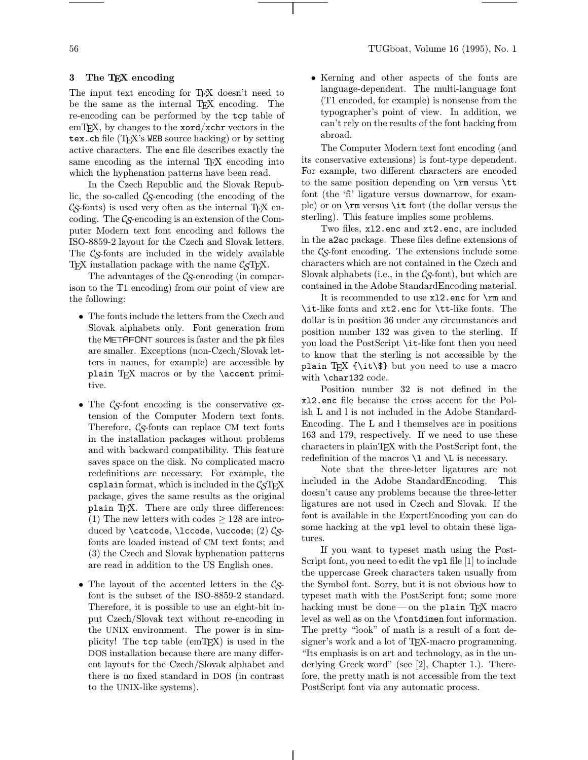# 3 The TEX encoding

The input text encoding for T<sub>EX</sub> doesn't need to be the same as the internal TEX encoding. The re-encoding can be performed by the tcp table of  $em$ T<sub>E</sub>X, by changes to the **xord**/**xchr** vectors in the tex.ch file (TEX's WEB source hacking) or by setting active characters. The enc file describes exactly the same encoding as the internal T<sub>EX</sub> encoding into which the hyphenation patterns have been read.

In the Czech Republic and the Slovak Republic, the so-called  $\mathcal{C}_{\mathcal{S}}$ -encoding (the encoding of the  $\mathcal{C}_{\mathcal{S}}$ -fonts) is used very often as the internal T<sub>EX</sub> encoding. The  $\mathcal{C}_{\mathcal{S}}$ -encoding is an extension of the Computer Modern text font encoding and follows the ISO-8859-2 layout for the Czech and Slovak letters. The  $\mathcal{C}_{\mathcal{S}}$ -fonts are included in the widely available TEX installation package with the name  $\mathcal{C}ST$ <sub>EX</sub>.

The advantages of the  $\mathcal{C}_{\mathcal{S}}$ -encoding (in comparison to the T1 encoding) from our point of view are the following:

- The fonts include the letters from the Czech and Slovak alphabets only. Font generation from the METAFONT sources is faster and the pk files are smaller. Exceptions (non-Czech/Slovak letters in names, for example) are accessible by plain TEX macros or by the \accent primitive.
- The  $\mathcal{C}_{\mathcal{S}}$ -font encoding is the conservative extension of the Computer Modern text fonts. Therefore,  $\mathcal{C}_{\mathcal{S}}$ -fonts can replace CM text fonts in the installation packages without problems and with backward compatibility. This feature saves space on the disk. No complicated macro redefinitions are necessary. For example, the csplain format, which is included in the  $\mathcal{C}STFX$ package, gives the same results as the original plain TEX. There are only three differences: (1) The new letters with codes  $\geq$  128 are introduced by  $\text{ob}$ ,  $\text{loc}$ ,  $\text{loc}$ ,  $\text{loc}$ fonts are loaded instead of CM text fonts; and (3) the Czech and Slovak hyphenation patterns are read in addition to the US English ones.
- The layout of the accented letters in the  $\mathcal{C}_{S}$ font is the subset of the ISO-8859-2 standard. Therefore, it is possible to use an eight-bit input Czech/Slovak text without re-encoding in the UNIX environment. The power is in simplicity! The tcp table (emTEX) is used in the DOS installation because there are many different layouts for the Czech/Slovak alphabet and there is no fixed standard in DOS (in contrast to the UNIX-like systems).

• Kerning and other aspects of the fonts are language-dependent. The multi-language font (T1 encoded, for example) is nonsense from the typographer's point of view. In addition, we can't rely on the results of the font hacking from abroad.

The Computer Modern text font encoding (and its conservative extensions) is font-type dependent. For example, two different characters are encoded to the same position depending on \rm versus \tt font (the 'fi' ligature versus downarrow, for example) or on \rm versus \it font (the dollar versus the sterling). This feature implies some problems.

Two files, xl2.enc and xt2.enc, are included in the a2ac package. These files define extensions of the  $\mathcal{C}_{\mathcal{S}}$ -font encoding. The extensions include some characters which are not contained in the Czech and Slovak alphabets (i.e., in the  $\mathcal{C}_{\mathcal{S}}$ -font), but which are contained in the Adobe StandardEncoding material.

It is recommended to use xl2.enc for \rm and \it-like fonts and xt2.enc for \tt-like fonts. The dollar is in position 36 under any circumstances and position number 132 was given to the sterling. If you load the PostScript \it-like font then you need to know that the sterling is not accessible by the plain T<sub>EX</sub> {\it\\$} but you need to use a macro with \char132 code.

Position number 32 is not defined in the xl2.enc file because the cross accent for the Polish L and l is not included in the Adobe Standard-Encoding. The L and l themselves are in positions 163 and 179, respectively. If we need to use these characters in plainTEX with the PostScript font, the redefinition of the macros  $\lambda$  and  $\lambda$  is necessary.

Note that the three-letter ligatures are not included in the Adobe StandardEncoding. This doesn't cause any problems because the three-letter ligatures are not used in Czech and Slovak. If the font is available in the ExpertEncoding you can do some hacking at the vpl level to obtain these ligatures.

If you want to typeset math using the Post-Script font, you need to edit the  $\nabla$  file [1] to include the uppercase Greek characters taken usually from the Symbol font. Sorry, but it is not obvious how to typeset math with the PostScript font; some more hacking must be done — on the plain  $T_F X$  macro level as well as on the \fontdimen font information. The pretty "look" of math is a result of a font designer's work and a lot of TEX-macro programming. "Its emphasis is on art and technology, as in the underlying Greek word" (see [2], Chapter 1.). Therefore, the pretty math is not accessible from the text PostScript font via any automatic process.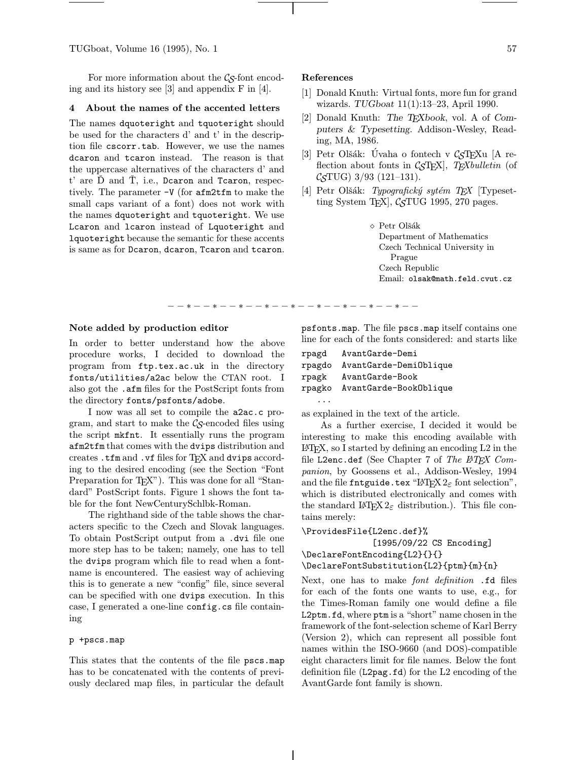TUGboat, Volume 16 (1995), No. 1  $57$ 

For more information about the  $\mathcal{C}_{\mathcal{S}}$ -font encoding and its history see [3] and appendix F in [4].

#### 4 About the names of the accented letters

The names dquoteright and tquoteright should be used for the characters d' and t' in the description file cscorr.tab. However, we use the names dcaron and tcaron instead. The reason is that the uppercase alternatives of the characters d' and  $t'$  are  $\tilde{D}$  and  $\tilde{T}$ , i.e., Dcaron and Tcaron, respectively. The parameter -V (for afm2tfm to make the small caps variant of a font) does not work with the names dquoteright and tquoteright. We use Lcaron and lcaron instead of Lquoteright and lquoteright because the semantic for these accents is same as for Dcaron, dcaron, Tcaron and tcaron.

## References

−−∗−−∗−−∗−−∗−−∗−−∗−−∗−−∗−−∗−−

- [1] Donald Knuth: Virtual fonts, more fun for grand wizards. TUGboat 11(1):13–23, April 1990.
- [2] Donald Knuth: The TEXbook, vol. A of Computers & Typesetting. Addison -Wesley, Reading, MA, 1986.
- [3] Petr Olšák: Úvaha o fontech v  $\mathcal{C}_{\mathcal{S}}$ T<sub>E</sub>Xu [A reflection about fonts in  $\mathcal{C}_{\mathcal{S}}$ FEX, TEXbulletin (of  $\mathcal{C}STUG$ ) 3/93 (121–131).
- [4] Petr Olšák: Typografický sytém TEX [Typesetting System T<sub>E</sub>X,  $\mathcal{C}_{\mathcal{S}}$ TUG 1995, 270 pages.

◇ Petr Olšák Department of Mathematics Czech Technical University in Prague Czech Republic Email: olsak@math.feld.cvut.cz

#### Note added by production editor

In order to better understand how the above procedure works, I decided to download the program from ftp.tex.ac.uk in the directory fonts/utilities/a2ac below the CTAN root. I also got the .afm files for the PostScript fonts from the directory fonts/psfonts/adobe.

I now was all set to compile the a2ac.c program, and start to make the  $\mathcal{C}_{\mathcal{S}}$ -encoded files using the script mkfnt. It essentially runs the program afm2tfm that comes with the dvips distribution and creates .tfm and .vf files for TEX and dvips according to the desired encoding (see the Section "Font Preparation for TEX"). This was done for all "Standard" PostScript fonts. Figure 1 shows the font table for the font NewCenturySchlbk-Roman.

The righthand side of the table shows the characters specific to the Czech and Slovak languages. To obtain PostScript output from a .dvi file one more step has to be taken; namely, one has to tell the dvips program which file to read when a fontname is encountered. The easiest way of achieving this is to generate a new "config" file, since several can be specified with one dvips execution. In this case, I generated a one-line config.cs file containing

### p +pscs.map

This states that the contents of the file pscs.map has to be concatenated with the contents of previously declared map files, in particular the default

psfonts.map. The file pscs.map itself contains one line for each of the fonts considered: and starts like

```
rpagd AvantGarde-Demi
rpagdo AvantGarde-DemiOblique
rpagk AvantGarde-Book
rpagko AvantGarde-BookOblique
   ...
```
as explained in the text of the article.

As a further exercise, I decided it would be interesting to make this encoding available with  $L^2$ FX, so I started by defining an encoding L2 in the file L2enc.def (See Chapter 7 of The  $BTEX$  Companion, by Goossens et al., Addison-Wesley, 1994 and the file fntguide.tex "LATEX  $2\varepsilon$  font selection", which is distributed electronically and comes with the standard  $L^2E^X 2_{\epsilon}$  distribution.). This file contains merely:

```
\ProvidesFile{L2enc.def}%
              [1995/09/22 CS Encoding]
\DeclareFontEncoding{L2}{}{}
\DeclareFontSubstitution{L2}{ptm}{m}{n}
```
Next, one has to make *font definition* .fd files for each of the fonts one wants to use, e.g., for the Times-Roman family one would define a file L2ptm.fd, where ptm is a "short" name chosen in the framework of the font-selection scheme of Karl Berry (Version 2), which can represent all possible font names within the ISO-9660 (and DOS)-compatible eight characters limit for file names. Below the font definition file (L2pag.fd) for the L2 encoding of the AvantGarde font family is shown.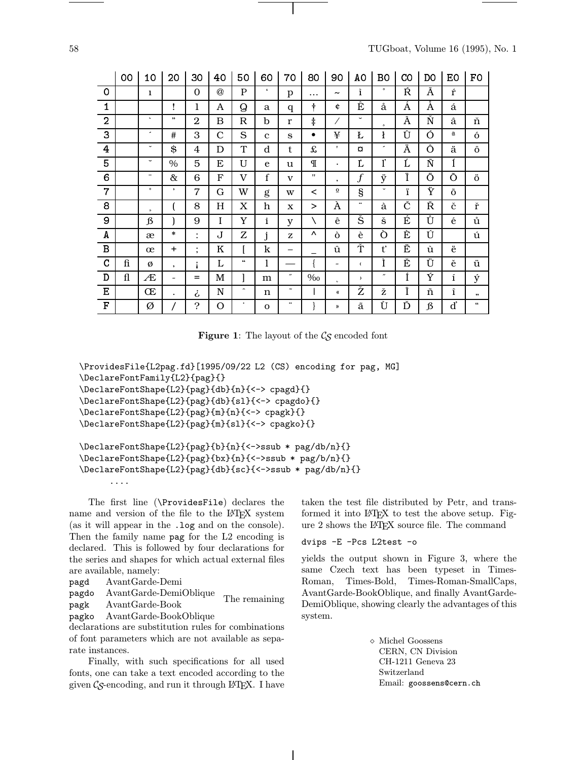|                | 00         | 10           | 20                       | 30                   | 40            | 50                       | 60           | 70                      | 80                | 90                       | A0                           | B0                | $_{\rm CO}$ | DO                         | EO                       | F0                   |
|----------------|------------|--------------|--------------------------|----------------------|---------------|--------------------------|--------------|-------------------------|-------------------|--------------------------|------------------------------|-------------------|-------------|----------------------------|--------------------------|----------------------|
| $\Omega$       |            | 1            |                          | $\Omega$             | $^\copyright$ | $\mathbf{P}$             | $\epsilon$   | p                       | $\cdots$          | $\tilde{\phantom{a}}$    | ì                            | $\bullet$         | Ŕ           | Ã                          | $\acute{\Gamma}$         |                      |
| 1              |            |              | ı                        | 1                    | A             | $\mathsf Q$              | a            | q                       | ÷                 | ¢                        | Ê                            | å                 | Á           | Å                          | á                        |                      |
| $\overline{2}$ |            | $\sim$       | ,,                       | $\mathbf{2}$         | B             | $\mathbb R$              | b            | $\mathbf{r}$            | $\ddagger$        | Ϊ                        | $\overline{\phantom{0}}$     | $\mathbf{a}$      | Â           | $\check{\textrm{N}}$       | â                        | ň                    |
| 3              |            | ٠            | #                        | 3                    | $\mathbf C$   | S                        | $\mathbf{c}$ | S                       | $\bullet$         | ¥                        | Ł                            | $\mathbf{r}$      | Û           | Ó                          | $\underline{\mathtt{a}}$ | ó                    |
| 4              |            | $\checkmark$ | \$                       | 4                    | D             | $\mathbf T$              | d            | t                       | £                 | $\mathbf{r}$             | O                            | ٠                 | Ä           | Ô                          | ä                        | ô                    |
| 5              |            | $\check{ }$  | $\%$                     | 5                    | E             | U                        | e            | u                       | $\mathbb{I}$      | ٠                        | Ľ                            | $\mathbf{l}'$     | Ĺ           | $\overline{\tilde{\rm N}}$ | ĺ                        |                      |
| 6              |            | -            | &                        | 6                    | F             | V                        | f            | $\mathbf{V}$            | $^{\prime\prime}$ | $\cdot$                  | $\boldsymbol{f}$             | ÿ                 | Ï           | Ö                          | Õ                        | ö                    |
| 7              |            | $\circ$      | $\bullet$                | $\overline{7}$       | $\mathbf G$   | W                        | g            | W                       | $\,<\,$           | $\underline{\mathbf{o}}$ | §                            | $\checkmark$      | ï           | Ÿ                          | õ                        |                      |
| 8              |            | $\mathbf s$  |                          | 8                    | H             | $\mathbf X$              | h            | X                       | $\geq$            | À                        |                              | à                 | Č           | Ř                          | č                        | $\check{\mathbf{r}}$ |
| 9              |            | $\beta$      |                          | 9                    | $\rm I$       | Y                        | $\mathbf i$  | y                       | $\setminus$       | ê                        | Š                            | š                 | É           | Ů                          | é                        | ů                    |
| A              |            | æ            | *                        | $\bullet$            | $\bf{J}$      | Z                        | j            | Z                       | Λ                 | Ò                        | è                            | Ò                 | È           | Ú                          |                          | ú                    |
| в              |            | œ            | +                        | $\bullet$<br>$\cdot$ | $\rm K$       |                          | k            |                         |                   | û                        | Ť                            | t'                | Ë           | ù                          | ë                        |                      |
| C              | fi         | Ø            | $\cdot$                  | i                    | L             | 66                       | 1            |                         |                   | -                        | $\left\langle \right\rangle$ | Ì                 | Ě           | Ü                          | ě                        | ü                    |
| D              | ${\rm fl}$ | Æ            | $\overline{\phantom{a}}$ | $=$                  | M             |                          | m            | $\qquad \qquad \bullet$ | $\%$              | c.                       | $\rightarrow$                | $^{\prime\prime}$ | Í           | Ý                          | $\mathbf i$              | ý                    |
| Е              |            | Œ            | $\bullet$                | i                    | ${\bf N}$     | $\overline{\phantom{a}}$ | n            | $\tilde{\phantom{a}}$   |                   | «                        | Ž                            | ž                 | Î           | ñ                          | î                        | ,,                   |
| F              |            | Ø            |                          | $\ddot{\cdot}$       | O             | ٠                        | $\mathbf 0$  |                         |                   | »                        | ã                            | Ù                 | Ď           | $\beta$                    | ď                        | 66                   |

**Figure 1:** The layout of the  $\mathcal{C}_{\mathcal{S}}$  encoded font

```
\ProvidesFile{L2pag.fd}[1995/09/22 L2 (CS) encoding for pag, MG]
\DeclareFontFamily{L2}{pag}{}
\DeclareFontShape{L2}{pag}{db}{n}{<-> cpagd}{}
\DeclareFontShape{L2}{pag}{db}{sl}{<-> cpagdo}{}
\DeclareFontShape{L2}{pag}{m}{n}{<-> cpagk}{}
\DeclareFontShape{L2}{pag}{m}{sl}{<-> cpagko}{}
```

```
\DeclareFontShape{L2}{pag}{b}{n}{<->ssub * pag/db/n}{}
\DeclareFontShape{L2}{pag}{bx}{n}{<->ssub * pag/b/n}{}
\DeclareFontShape{L2}{pag}{db}{sc}{<->ssub * pag/db/n}{}
```
The first line (\ProvidesFile) declares the name and version of the file to the L<sup>AT</sup>FX system (as it will appear in the .log and on the console). Then the family name pag for the L2 encoding is declared. This is followed by four declarations for the series and shapes for which actual external files are available, namely:

pagd AvantGarde-Demi

....

pagdo AvantGarde-DemiOblique

pagk AvantGarde-Book pagko AvantGarde-BookOblique The remaining

declarations are substitution rules for combinations of font parameters which are not available as separate instances.

Finally, with such specifications for all used fonts, one can take a text encoded according to the given  $\mathcal{C}_{\mathcal{S}}$ -encoding, and run it through LATEX. I have taken the test file distributed by Petr, and transformed it into L<sup>AT</sup>FX to test the above setup. Figure 2 shows the L<sup>A</sup>TEX source file. The command

### dvips -E -Pcs L2test -o

yields the output shown in Figure 3, where the same Czech text has been typeset in Times-Roman, Times-Bold, Times-Roman-SmallCaps, AvantGarde-BookOblique, and finally AvantGarde-DemiOblique, showing clearly the advantages of this system.

> ⋄ Michel Goossens CERN, CN Division CH-1211 Geneva 23 Switzerland Email: goossens@cern.ch